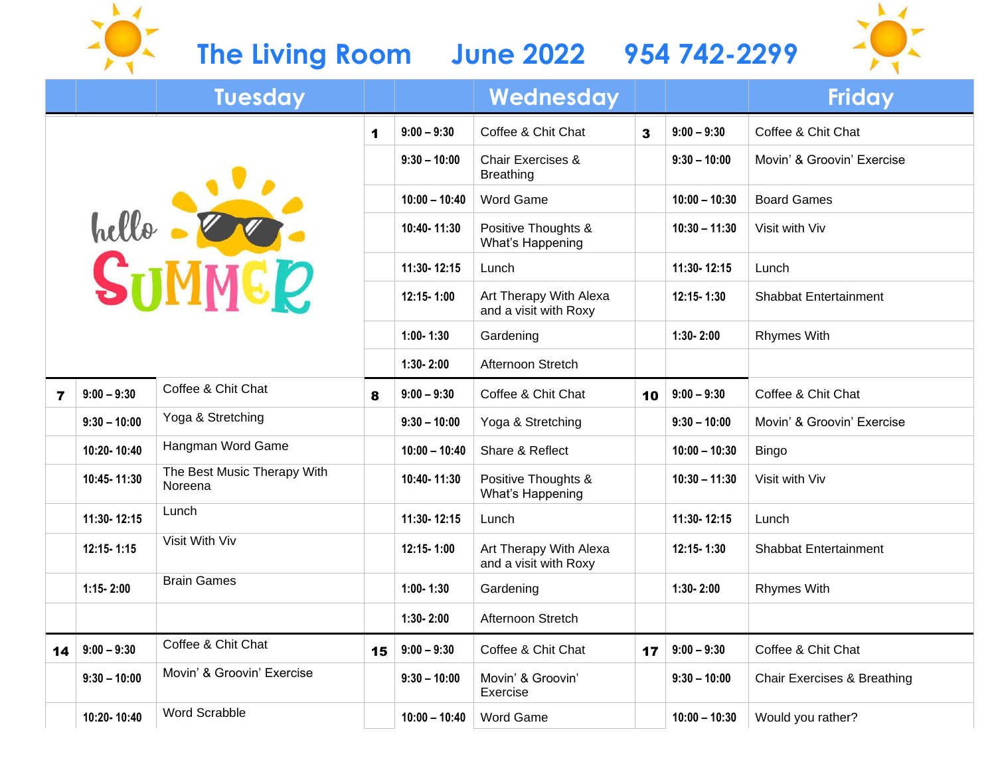## **The Living Room June 2022 954 742-2299**

 $\sum_{i=1}^{n}$ 



|            |                | <b>Tuesday</b>                         |            |                                                 | Wednesday                                        |            |                              | <b>Friday</b>                          |
|------------|----------------|----------------------------------------|------------|-------------------------------------------------|--------------------------------------------------|------------|------------------------------|----------------------------------------|
|            |                |                                        | 1          | $9:00 - 9:30$                                   | Coffee & Chit Chat                               | 3          | $9:00 - 9:30$                | Coffee & Chit Chat                     |
| hello - OO |                |                                        |            | $9:30 - 10:00$                                  | <b>Chair Exercises &amp;</b><br><b>Breathing</b> |            | $9:30 - 10:00$               | Movin' & Groovin' Exercise             |
|            |                |                                        |            | $10:00 - 10:40$                                 | <b>Word Game</b>                                 |            | $10:00 - 10:30$              | <b>Board Games</b>                     |
|            |                |                                        |            | 10:40-11:30                                     | Positive Thoughts &<br>What's Happening          |            | $10:30 - 11:30$              | Visit with Viv                         |
|            |                |                                        |            | 11:30-12:15                                     | Lunch                                            |            | 11:30-12:15                  | Lunch                                  |
|            |                |                                        | 12:15-1:00 | Art Therapy With Alexa<br>and a visit with Roxy |                                                  | 12:15-1:30 | <b>Shabbat Entertainment</b> |                                        |
|            |                |                                        |            | $1:00 - 1:30$                                   | Gardening                                        |            | $1:30 - 2:00$                | <b>Rhymes With</b>                     |
|            |                |                                        |            | $1:30 - 2:00$                                   | Afternoon Stretch                                |            |                              |                                        |
| 7          | $9:00 - 9:30$  | Coffee & Chit Chat                     | 8          | $9:00 - 9:30$                                   | Coffee & Chit Chat                               | 10         | $9:00 - 9:30$                | Coffee & Chit Chat                     |
|            | $9:30 - 10:00$ | Yoga & Stretching                      |            | $9:30 - 10:00$                                  | Yoga & Stretching                                |            | $9:30 - 10:00$               | Movin' & Groovin' Exercise             |
|            | 10:20-10:40    | Hangman Word Game                      |            | $10:00 - 10:40$                                 | Share & Reflect                                  |            | $10:00 - 10:30$              | <b>Bingo</b>                           |
|            | 10:45-11:30    | The Best Music Therapy With<br>Noreena |            | 10:40-11:30                                     | Positive Thoughts &<br>What's Happening          |            | $10:30 - 11:30$              | Visit with Viv                         |
|            | 11:30-12:15    | Lunch                                  |            | 11:30-12:15                                     | Lunch                                            |            | 11:30-12:15                  | Lunch                                  |
|            | 12:15-1:15     | Visit With Viv                         |            | 12:15-1:00                                      | Art Therapy With Alexa<br>and a visit with Roxy  |            | 12:15-1:30                   | <b>Shabbat Entertainment</b>           |
|            | $1:15 - 2:00$  | <b>Brain Games</b>                     |            | $1:00 - 1:30$                                   | Gardening                                        |            | $1:30 - 2:00$                | <b>Rhymes With</b>                     |
|            |                |                                        |            | $1:30 - 2:00$                                   | Afternoon Stretch                                |            |                              |                                        |
| 14         | $9:00 - 9:30$  | Coffee & Chit Chat                     | 15         | $9:00 - 9:30$                                   | Coffee & Chit Chat                               | 17         | $9:00 - 9:30$                | Coffee & Chit Chat                     |
|            | $9:30 - 10:00$ | Movin' & Groovin' Exercise             |            | $9:30 - 10:00$                                  | Movin' & Groovin'<br>Exercise                    |            | $9:30 - 10:00$               | <b>Chair Exercises &amp; Breathing</b> |
|            | 10:20-10:40    | <b>Word Scrabble</b>                   |            | $10:00 - 10:40$                                 | <b>Word Game</b>                                 |            | $10:00 - 10:30$              | Would you rather?                      |